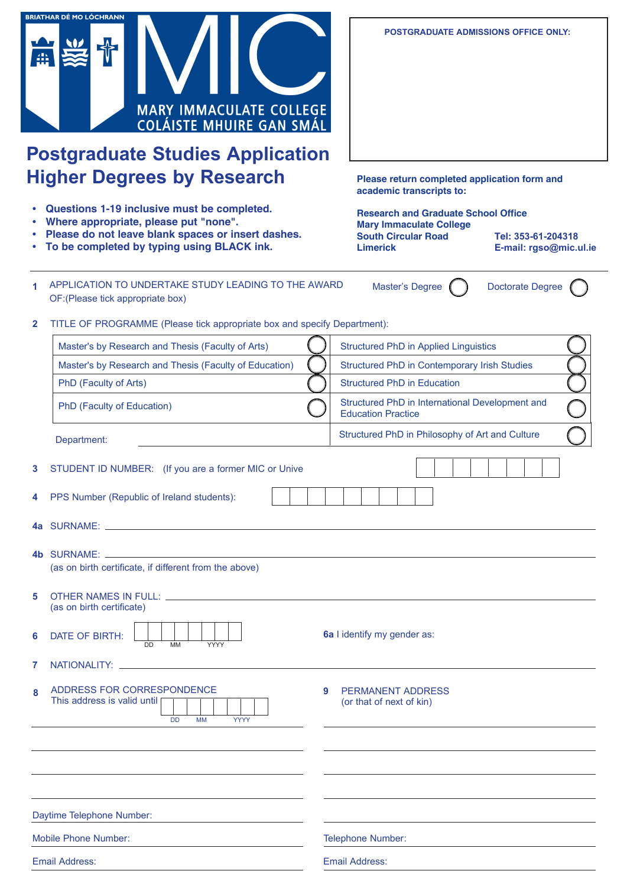

# **Postgraduate Studies Application Higher Degrees by Research**

- **• Questions 1-19 inclusive must be completed.**
- **• Where appropriate, please put "none".**
- **• Please do not leave blank spaces or insert dashes.**
- **• To be completed by typing using BLACK ink.**

**POSTGRADUATE ADMISSIONS OFFICE ONLY:**

**Please return completed application form and academic transcripts to:**

**Research and Graduate School Office Mary Immaculate College South Circular Road Limerick**

**Tel: 353-61-204318 E-mail: rgso@mic.ul.ie**

| 1 APPLICATION TO UNDERTAKE STUDY LEADING TO THE AWARD | Master's Degree | <b>Doctorate Degree</b> |
|-------------------------------------------------------|-----------------|-------------------------|
| OF: (Please tick appropriate box)                     |                 |                         |

**2** TITLE OF PROGRAMME (Please tick appropriate box and specify Department):

|   | Master's by Research and Thesis (Faculty of Arts)                                                             | <b>Structured PhD in Applied Linguistics</b>                                 |
|---|---------------------------------------------------------------------------------------------------------------|------------------------------------------------------------------------------|
|   | Master's by Research and Thesis (Faculty of Education)                                                        | Structured PhD in Contemporary Irish Studies                                 |
|   | PhD (Faculty of Arts)                                                                                         | <b>Structured PhD in Education</b>                                           |
|   | PhD (Faculty of Education)                                                                                    | Structured PhD in International Development and<br><b>Education Practice</b> |
|   | Department:                                                                                                   | Structured PhD in Philosophy of Art and Culture                              |
| 3 | STUDENT ID NUMBER: (If you are a former MIC or Unive                                                          |                                                                              |
| 4 | PPS Number (Republic of Ireland students):                                                                    |                                                                              |
|   | 4a SURNAME: University of the contract of the contract of the contract of the contract of the contract of the |                                                                              |
|   | (as on birth certificate, if different from the above)                                                        |                                                                              |
| 5 | (as on birth certificate)                                                                                     |                                                                              |
| 6 | DATE OF BIRTH:<br><b>DD</b><br><b>MM</b><br>YYYY                                                              | 6a I identify my gender as:                                                  |
| 7 |                                                                                                               |                                                                              |
| 8 | ADDRESS FOR CORRESPONDENCE<br>9<br>This address is valid until [<br><b>YYYY</b><br><b>DD</b><br><b>MM</b>     | <b>PERMANENT ADDRESS</b><br>(or that of next of kin)                         |
|   |                                                                                                               |                                                                              |
|   |                                                                                                               |                                                                              |
|   | Daytime Telephone Number:                                                                                     |                                                                              |
|   |                                                                                                               |                                                                              |
|   | <b>Mobile Phone Number:</b>                                                                                   | <b>Telephone Number:</b>                                                     |
|   | <b>Email Address:</b>                                                                                         | <b>Email Address:</b>                                                        |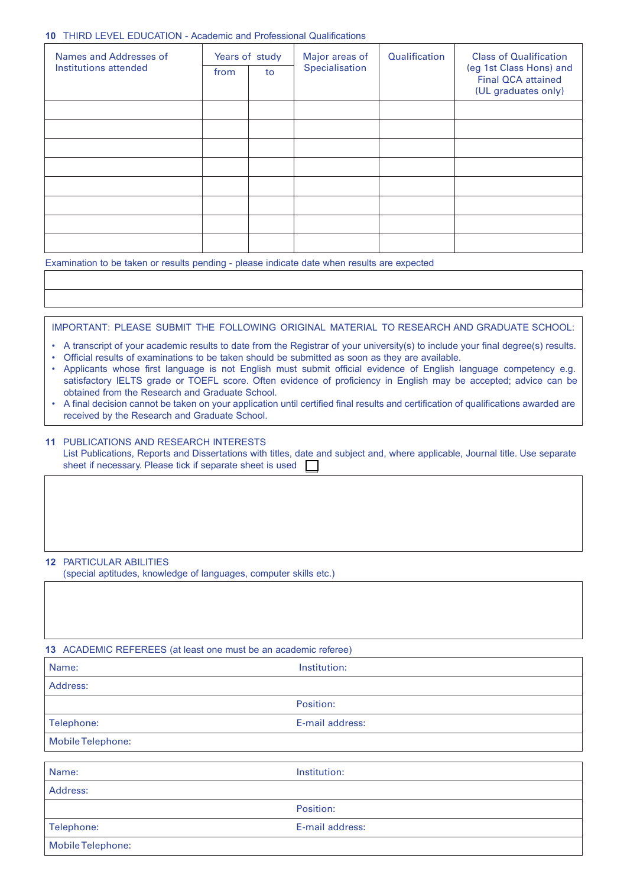#### **10** THIRD LEVEL EDUCATION - Academic and Professional Qualifications

| Names and Addresses of | Years of study |    | Major areas of | <b>Qualification</b> | <b>Class of Qualification</b>                                               |  |
|------------------------|----------------|----|----------------|----------------------|-----------------------------------------------------------------------------|--|
| Institutions attended  | from           | to | Specialisation |                      | (eg 1st Class Hons) and<br><b>Final QCA attained</b><br>(UL graduates only) |  |
|                        |                |    |                |                      |                                                                             |  |
|                        |                |    |                |                      |                                                                             |  |
|                        |                |    |                |                      |                                                                             |  |
|                        |                |    |                |                      |                                                                             |  |
|                        |                |    |                |                      |                                                                             |  |
|                        |                |    |                |                      |                                                                             |  |
|                        |                |    |                |                      |                                                                             |  |
|                        |                |    |                |                      |                                                                             |  |

Examination to be taken or results pending - please indicate date when results are expected

IMPORTANT: PLEASE SUBMIT THE FOLLOWING ORIGINAL MATERIAL TO RESEARCH AND GRADUATE SCHOOL:

- A transcript of your academic results to date from the Registrar of your university(s) to include your final degree(s) results.
- Official results of examinations to be taken should be submitted as soon as they are available.
- Applicants whose first language is not English must submit official evidence of English language competency e.g. satisfactory IELTS grade or TOEFL score. Often evidence of proficiency in English may be accepted; advice can be obtained from the Research and Graduate School.
- A final decision cannot be taken on your application until certified final results and certification of qualifications awarded are received by the Research and Graduate School.

#### **11** PUBLICATIONS AND RESEARCH INTERESTS

List Publications, Reports and Dissertations with titles, date and subject and, where applicable, Journal title. Use separate sheet if necessary. Please tick if separate sheet is used

#### **12** PARTICULAR ABILITIES

(special aptitudes, knowledge of languages, computer skills etc.)

#### **13** ACADEMIC REFEREES (at least one must be an academic referee)

| Name:                    | Institution:    |  |  |  |
|--------------------------|-----------------|--|--|--|
| Address:                 |                 |  |  |  |
|                          | Position:       |  |  |  |
| Telephone:               | E-mail address: |  |  |  |
| <b>Mobile Telephone:</b> |                 |  |  |  |
|                          |                 |  |  |  |
| Name:                    | Institution:    |  |  |  |

| --------          | .               |
|-------------------|-----------------|
| Address:          |                 |
|                   | Position:       |
| Telephone:        | E-mail address: |
| Mobile Telephone: |                 |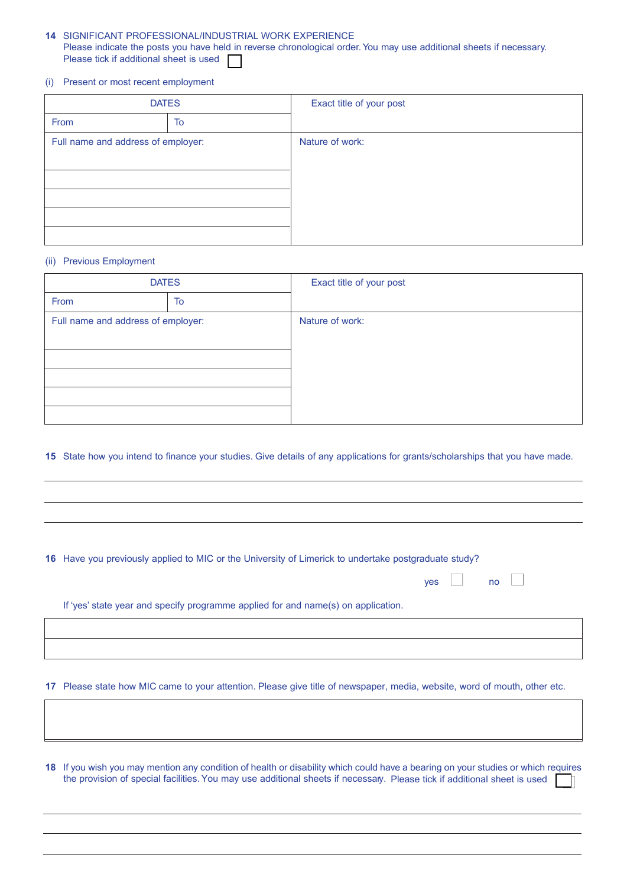### **14** SIGNIFICANT PROFESSIONAL/INDUSTRIAL WORK EXPERIENCE Please indicate the posts you have held in reverse chronological order. You may use additional sheets if necessary. Please tick if additional sheet is used

#### (i) Present or most recent employment

| <b>DATES</b>                       |    | Exact title of your post |
|------------------------------------|----|--------------------------|
| From                               | To |                          |
| Full name and address of employer: |    | Nature of work:          |
|                                    |    |                          |
|                                    |    |                          |
|                                    |    |                          |
|                                    |    |                          |
|                                    |    |                          |

#### (ii) Previous Employment

| <b>DATES</b>                       |    | Exact title of your post |
|------------------------------------|----|--------------------------|
| From                               | To |                          |
| Full name and address of employer: |    | Nature of work:          |
|                                    |    |                          |
|                                    |    |                          |
|                                    |    |                          |
|                                    |    |                          |
|                                    |    |                          |

## **15** State how you intend to finance your studies. Give details of any applications for grants/scholarships that you have made.

 $yes \t\t\t no \t\t\t$ 

|  | 16 Have you previously applied to MIC or the University of Limerick to undertake postgraduate study? |  |  |
|--|------------------------------------------------------------------------------------------------------|--|--|
|--|------------------------------------------------------------------------------------------------------|--|--|

If 'yes' state year and specify programme applied for and name(s) on application.

**17** Please state how MIC came to your attention. Please give title of newspaper, media, website, word of mouth, other etc.

**18** If you wish you may mention any condition of health or disability which could have a bearing on your studies or which requires the provision of special facilities. You may use additional sheets if necessary. Please tick if additional sheet is used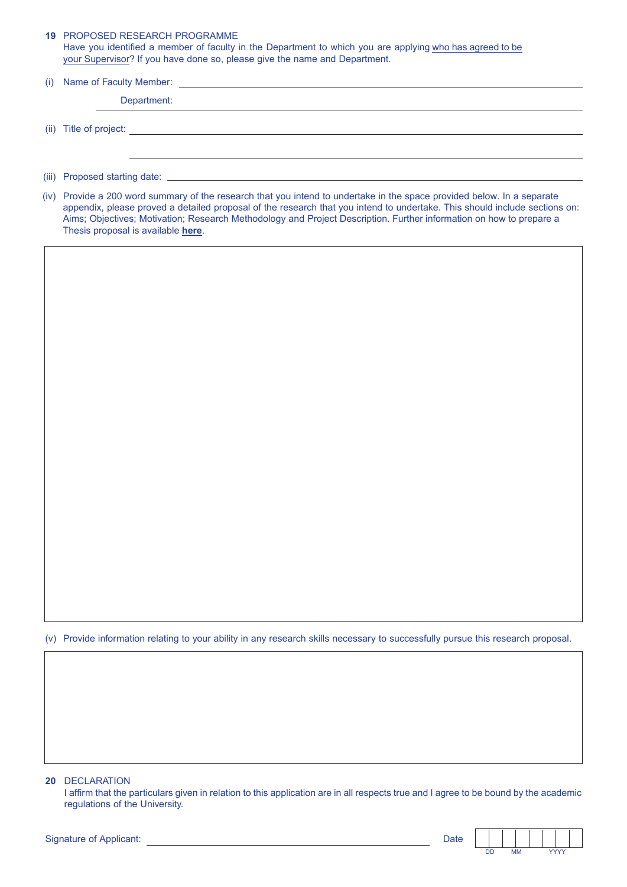|     | <b>19 PROPOSED RESEARCH PROGRAMME</b><br>Have you identified a member of faculty in the Department to which you are applying who has agreed to be<br>your Supervisor? If you have done so, please give the name and Department.                                                                                                                                                                                    |
|-----|--------------------------------------------------------------------------------------------------------------------------------------------------------------------------------------------------------------------------------------------------------------------------------------------------------------------------------------------------------------------------------------------------------------------|
| (i) |                                                                                                                                                                                                                                                                                                                                                                                                                    |
|     | Department:                                                                                                                                                                                                                                                                                                                                                                                                        |
|     | (ii) Title of project: <u>contract and contract and contract and contract and contract and contract and contract and contract and contract and contract and contract and contract and contract and contract and contract and con</u>                                                                                                                                                                               |
|     |                                                                                                                                                                                                                                                                                                                                                                                                                    |
|     | (iv) Provide a 200 word summary of the research that you intend to undertake in the space provided below. In a separate<br>appendix, please proved a detailed proposal of the research that you intend to undertake. This should include sections on:<br>Aims; Objectives; Motivation; Research Methodology and Project Description. Further information on how to prepare a<br>Thesis proposal is available here. |
|     |                                                                                                                                                                                                                                                                                                                                                                                                                    |
|     |                                                                                                                                                                                                                                                                                                                                                                                                                    |
|     |                                                                                                                                                                                                                                                                                                                                                                                                                    |
|     |                                                                                                                                                                                                                                                                                                                                                                                                                    |
|     |                                                                                                                                                                                                                                                                                                                                                                                                                    |
|     |                                                                                                                                                                                                                                                                                                                                                                                                                    |
|     |                                                                                                                                                                                                                                                                                                                                                                                                                    |
|     |                                                                                                                                                                                                                                                                                                                                                                                                                    |
|     |                                                                                                                                                                                                                                                                                                                                                                                                                    |
|     |                                                                                                                                                                                                                                                                                                                                                                                                                    |
|     |                                                                                                                                                                                                                                                                                                                                                                                                                    |
|     |                                                                                                                                                                                                                                                                                                                                                                                                                    |
|     |                                                                                                                                                                                                                                                                                                                                                                                                                    |
|     |                                                                                                                                                                                                                                                                                                                                                                                                                    |
|     |                                                                                                                                                                                                                                                                                                                                                                                                                    |
|     |                                                                                                                                                                                                                                                                                                                                                                                                                    |
|     |                                                                                                                                                                                                                                                                                                                                                                                                                    |
|     |                                                                                                                                                                                                                                                                                                                                                                                                                    |
| (V) | Provide information relating to your ability in any research skills necessary to successfully pursue this research proposal.                                                                                                                                                                                                                                                                                       |
|     |                                                                                                                                                                                                                                                                                                                                                                                                                    |
|     |                                                                                                                                                                                                                                                                                                                                                                                                                    |
|     |                                                                                                                                                                                                                                                                                                                                                                                                                    |
|     |                                                                                                                                                                                                                                                                                                                                                                                                                    |
|     |                                                                                                                                                                                                                                                                                                                                                                                                                    |
|     |                                                                                                                                                                                                                                                                                                                                                                                                                    |
| 20  | <b>DECLARATION</b><br>I affirm that the particulars given in relation to this application are in all respects true and I agree to be bound by the academic<br>regulations of the University.                                                                                                                                                                                                                       |

| <b>Signature of Applicant:</b> | Date |
|--------------------------------|------|
|--------------------------------|------|

 $\mathsf{l}$ 

**DD MM YYYY**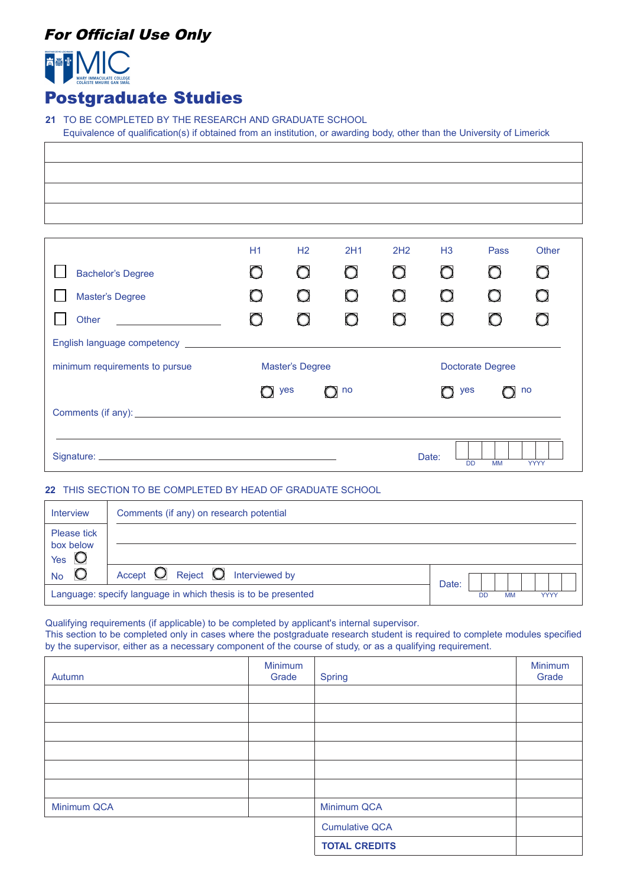## For Official Use Only



## Postgraduate Studies

**21** TO BE COMPLETED BY THE RESEARCH AND GRADUATE SCHOOL Equivalence of qualification(s) if obtained from an institution, or awarding body, other than the University of Limerick

|                                                                            | H1              | H <sub>2</sub> | 2H1           | 2H <sub>2</sub>         | H <sub>3</sub> | Pass | Other      |
|----------------------------------------------------------------------------|-----------------|----------------|---------------|-------------------------|----------------|------|------------|
| <b>Bachelor's Degree</b>                                                   | O               | O              | Ο             | O                       | $\bigcirc$     | O    | $\bigcirc$ |
| <b>Master's Degree</b>                                                     |                 | $\bigcirc$     |               | O                       | $\bigcirc$     |      |            |
| Other<br><u> 1990 - Andrea Station Books, amerikansk politik (d. 1980)</u> | $\circ$         | $\bigcirc$     |               | $\bigcirc$              | $\bigcirc$     |      |            |
| English language competency _________                                      |                 |                |               |                         |                |      |            |
| minimum requirements to pursue                                             | Master's Degree |                |               | <b>Doctorate Degree</b> |                |      |            |
|                                                                            |                 | yes            | $\bigcirc$ no |                         | yes            |      | no         |
|                                                                            |                 |                |               |                         |                |      |            |
|                                                                            |                 |                |               |                         |                |      |            |
| Date:<br><b>DD</b><br><b>MM</b><br><b>YYYY</b>                             |                 |                |               |                         |                |      |            |

## **22** THIS SECTION TO BE COMPLETED BY HEAD OF GRADUATE SCHOOL

| <b>Interview</b>                           | Comments (if any) on research potential                       |                                       |
|--------------------------------------------|---------------------------------------------------------------|---------------------------------------|
| Please tick<br>box below<br>Yes $\bigcirc$ |                                                               |                                       |
| $\bigcirc$<br><b>No</b>                    | Accept $\bigcirc$ Reject $\bigcirc$ Interviewed by            | Date:                                 |
|                                            | Language: specify language in which thesis is to be presented | <b>DD</b><br><b>MM</b><br><b>YYYY</b> |

Qualifying requirements (if applicable) to be completed by applicant's internal supervisor.

This section to be completed only in cases where the postgraduate research student is required to complete modules specified by the supervisor, either as a necessary component of the course of study, or as a qualifying requirement.

| Autumn      | Minimum<br>Grade | <b>Spring</b>         | Minimum<br>Grade |
|-------------|------------------|-----------------------|------------------|
|             |                  |                       |                  |
|             |                  |                       |                  |
|             |                  |                       |                  |
|             |                  |                       |                  |
|             |                  |                       |                  |
|             |                  |                       |                  |
| Minimum QCA |                  | Minimum QCA           |                  |
|             |                  | <b>Cumulative QCA</b> |                  |
|             |                  | <b>TOTAL CREDITS</b>  |                  |